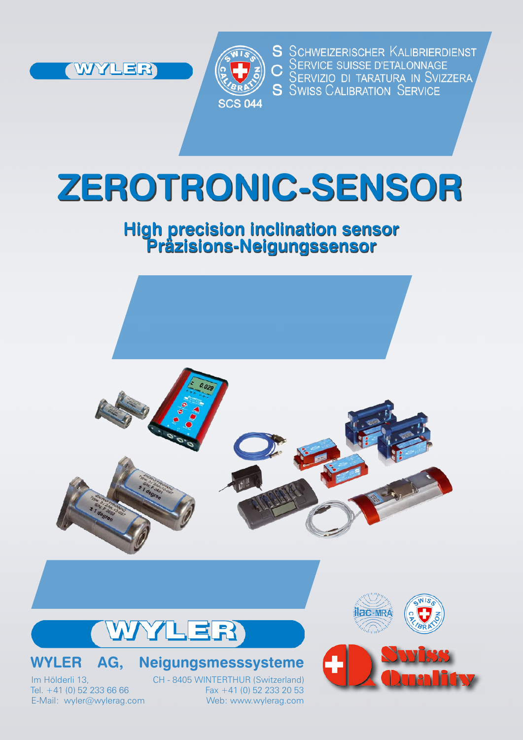



S SCHWEIZERISCHER KALIBRIERDIENST C SERVICE SUISSE D'ETALONNAGE<br>C SERVIZIO DI TARATURA IN SVIZZERA<br>S SWISS CALIBRATION SERVICE

# **ZEROTRONIC-SENSOR**

# **High precision inclination sensor Präzisions-Neigungssensor**





## **WYLER AG, Neigungsmesssysteme**

Im Hölderli 13, CH - 8405 WINTERTHUR (Switzerland)<br>Tel. +41 (0) 52 233 66 66 Fax +41 (0) 52 233 20 53  $Fax +41 (0) 52 233 20 53$ E-Mail: wyler@wylerag.com Web: www.wylerag.com



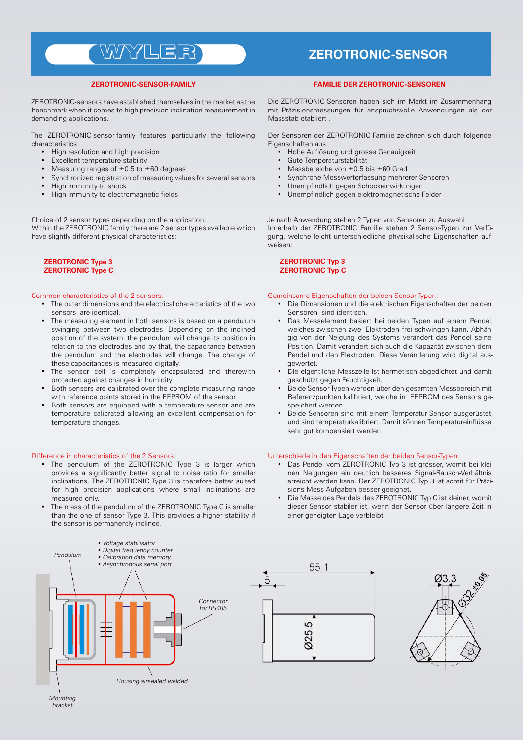## WYYLER

#### **ZEROTRONIC-SENSOR-FAMILY**

ZEROTRONIC-sensors have established themselves in the market as the benchmark when it comes to high precision inclination measurement in demanding applications.

The ZEROTRONIC-sensor-family features particularly the following characteristics:

- High resolution and high precision
- **Excellent temperature stability**
- Measuring ranges of  $\pm 0.5$  to  $\pm 60$  degrees
- Synchronized registration of measuring values for several sensors
- High immunity to shock
- High immunity to electromagnetic fields

Choice of 2 sensor types depending on the application:

Within the ZEROTRONIC family there are 2 sensor types available which have slightly different physical characteristics:

#### **ZEROTRONIC Type 3 ZEROTRONIC Type C**

#### Common characteristics of the 2 sensors:

- The outer dimensions and the electrical characteristics of the two sensors are identical.
- The measuring element in both sensors is based on a pendulum swinging between two electrodes. Depending on the inclined position of the system, the pendulum will change its position in relation to the electrodes and by that, the capacitance between the pendulum and the electrodes will change. The change of these capacitances is measured digitally.
- The sensor cell is completely encapsulated and therewith protected against changes in humidity.
- Both sensors are calibrated over the complete measuring range with reference points stored in the EEPROM of the sensor.
- Both sensors are equipped with a temperature sensor and are temperature calibrated allowing an excellent compensation for temperature changes.

#### Difference in characteristics of the 2 Sensors:

- The pendulum of the ZEROTRONIC Type 3 is larger which provides a significantly better signal to noise ratio for smaller inclinations. The ZEROTRONIC Type 3 is therefore better suited for high precision applications where small inclinations are measured only.
- The mass of the pendulum of the ZEROTRONIC Type C is smaller than the one of sensor Type 3. This provides a higher stability if the sensor is permanently inclined.

### **ZEROTRONIC-SENSOR**

#### **Familie der ZEROTRONIC-Sensoren**

Die ZEROTRONIC-Sensoren haben sich im Markt im Zusammenhang mit Präzisionsmessungen für anspruchsvolle Anwendungen als der Massstab etabliert .

Der Sensoren der ZEROTRONIC-Familie zeichnen sich durch folgende Eigenschaften aus:

- Hohe Auflösung und grosse Genauigkeit
- Gute Temperaturstabilität
- Messbereiche von  $\pm 0.5$  bis  $\pm 60$  Grad
- Synchrone Messwerterfassung mehrerer Sensoren
- Unempfindlich gegen Schockeinwirkungen
- Unempfindlich gegen elektromagnetische Felder

Je nach Anwendung stehen 2 Typen von Sensoren zu Auswahl: Innerhalb der ZEROTRONIC Familie stehen 2 Sensor-Typen zur Verfügung, welche leicht unterschiedliche physikalische Eigenschaften aufweisen:

#### **ZEROTRONIC Typ 3 ZEROTRONIC Typ C**

#### Gemeinsame Eigenschaften der beiden Sensor-Typen:

- Die Dimensionen und die elektrischen Eigenschaften der beiden Sensoren sind identisch.
- Das Messelement basiert bei beiden Typen auf einem Pendel, welches zwischen zwei Elektroden frei schwingen kann. Abhängig von der Neigung des Systems verändert das Pendel seine Position. Damit verändert sich auch die Kapazität zwischen dem Pendel und den Elektroden. Diese Veränderung wird digital ausgewertet.
- Die eigentliche Messzelle ist hermetisch abgedichtet und damit geschützt gegen Feuchtigkeit.
- Beide Sensor-Typen werden über den gesamten Messbereich mit Referenzpunkten kalibriert, welche im EEPROM des Sensors gespeichert werden.
- Beide Sensoren sind mit einem Temperatur-Sensor ausgerüstet, und sind temperaturkalibriert. Damit können Temperatureinflüsse sehr gut kompensiert werden.

#### Unterschiede in den Eigenschaften der beiden Sensor-Typen:

- Das Pendel vom ZEROTRONIC Typ 3 ist grösser, womit bei kleinen Neigungen ein deutlich besseres Signal-Rausch-Verhältnis erreicht werden kann. Der ZEROTRONIC Typ 3 ist somit für Präzisions-Mess-Aufgaben besser geeignet.
- Die Masse des Pendels des ZEROTRONIC Typ C ist kleiner, womit dieser Sensor stabiler ist, wenn der Sensor über längere Zeit in einer geneigten Lage verbleibt.



Mounting bracket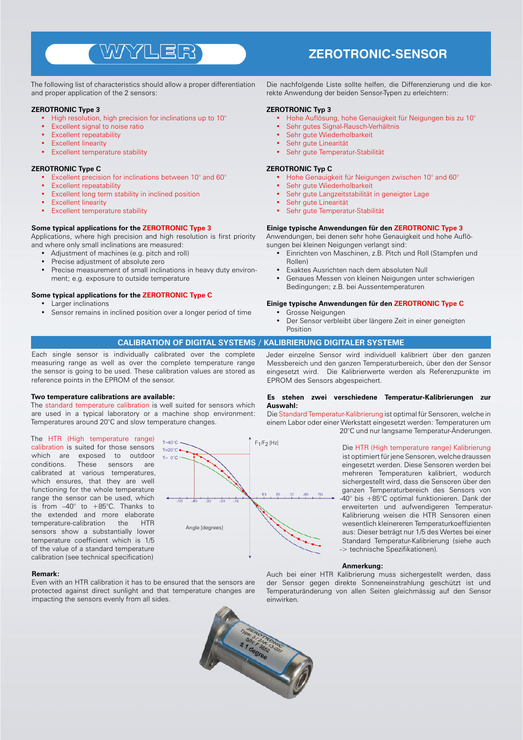## WYYLER

The following list of characteristics should allow a proper differentiation and proper application of the 2 sensors:

#### **ZEROTRONIC Type 3**

- High resolution, high precision for inclinations up to 10°
- Excellent signal to noise ratio
- Excellent repeatability
- **Excellent linearity**
- **Excellent temperature stability**

#### **ZEROTRONIC Type C**

- Excellent precision for inclinations between 10° and 60°
- **Excellent repeatability**
- Excellent long term stability in inclined position
- **Excellent linearity**
- **Excellent temperature stability**

#### **Some typical applications for the ZEROTRONIC Type 3**

Applications, where high precision and high resolution is first priority and where only small inclinations are measured:

- Adjustment of machines (e.g. pitch and roll)
- Precise adjustment of absolute zero
- Precise measurement of small inclinations in heavy duty environment; e.g. exposure to outside temperature

#### **Some typical applications for the ZEROTRONIC Type C**

- Larger inclinations
- Sensor remains in inclined position over a longer period of time

### **ZEROTRONIC-SENSOR**

Die nachfolgende Liste sollte helfen, die Differenzierung und die korrekte Anwendung der beiden Sensor-Typen zu erleichtern:

#### **ZEROTRONIC Typ 3**

- Hohe Auflösung, hohe Genauigkeit für Neigungen bis zu 10°
- Sehr gutes Signal-Rausch-Verhältnis
- Sehr gute Wiederholbarkeit
- Sehr gute Linearität
- Sehr gute Temperatur-Stabilität

#### **ZEROTRONIC Typ C**

- Hohe Genauigkeit für Neigungen zwischen 10° and 60°
- Sehr gute Wiederholbarkeit
- Sehr gute Langzeitstabilität in geneigter Lage
- Sehr gute Linearität
- Sehr gute Temperatur-Stabilität

#### **Einige typische Anwendungen für den ZEROTRONIC Type 3**

Anwendungen, bei denen sehr hohe Genauigkeit und hohe Auflösungen bei kleinen Neigungen verlangt sind:

- Einrichten von Maschinen, z.B. Pitch und Roll (Stampfen und Rollen)
- Exaktes Ausrichten nach dem absoluten Null
- Genaues Messen von kleinen Neigungen unter schwierigen Bedingungen; z.B. bei Aussentemperaturen

#### **Einige typische Anwendungen für den ZEROTRONIC Type C**

- Grosse Neigungen
- Der Sensor verbleibt über längere Zeit in einer geneigten Position

#### **CALIBRATION OF DIGITAL SYSTEMS / KALIBRIERUNG DIGITALER SYSTEME**

Each single sensor is individually calibrated over the complete measuring range as well as over the complete temperature range the sensor is going to be used. These calibration values are stored as reference points in the EPROM of the sensor.

#### **Two temperature calibrations are available:**

The standard temperature calibration is well suited for sensors which are used in a typical laboratory or a machine shop environment: Temperatures around 20°C and slow temperature changes.

The HTR (High temperature range) calibration is suited for those sensors which are exposed to outdoor conditions. These sensors are calibrated at various temperatures, which ensures, that they are well functioning for the whole temperature range the sensor can be used, which is from  $-40^\circ$  to  $+85^\circ$ C. Thanks to the extended and more elaborate<br>temperature-calibration the HTR temperature-calibration the HTR sensors show a substantially lower temperature coefficient which is 1/5 of the value of a standard temperature calibration (see technical specification)

#### **Remark:**

Even with an HTR calibration it has to be ensured that the sensors are protected against direct sunlight and that temperature changes are impacting the sensors evenly from all sides.



Jeder einzelne Sensor wird individuell kalibriert über den ganzen Messbereich und den ganzen Temperaturbereich, über den der Sensor eingesetzt wird. Die Kalibrierwerte werden als Referenzpunkte im EPROM des Sensors abgespeichert.

#### **Es stehen zwei verschiedene Temperatur-Kalibrierungen zur Auswahl:**

Die Standard Temperatur-Kalibrierung ist optimal für Sensoren, welche in einem Labor oder einer Werkstatt eingesetzt werden: Temperaturen um 20°C und nur langsame Temperatur-Änderungen.

> Die HTR (High temperature range) Kalibrierung ist optimiert für jene Sensoren, welche draussen eingesetzt werden. Diese Sensoren werden bei mehreren Temperaturen kalibriert, wodurch sichergestellt wird, dass die Sensoren über den ganzen Temperaturbereich des Sensors von -40° bis +85°C optimal funktionieren. Dank der erweiterten und aufwendigeren Temperatur-Kalibrierung weisen die HTR Sensoren einen wesentlich kleinereren Temperaturkoeffizienten aus: Dieser beträgt nur 1/5 des Wertes bei einer Standard Temperatur-Kalibrierung (siehe auch -> technische Spezifikationen).

#### **Anmerkung:**

Auch bei einer HTR Kalibrierung muss sichergestellt werden, dass der Sensor gegen direkte Sonneneinstrahlung geschützt ist und Temperaturänderung von allen Seiten gleichmässig auf den Sensor einwirken.